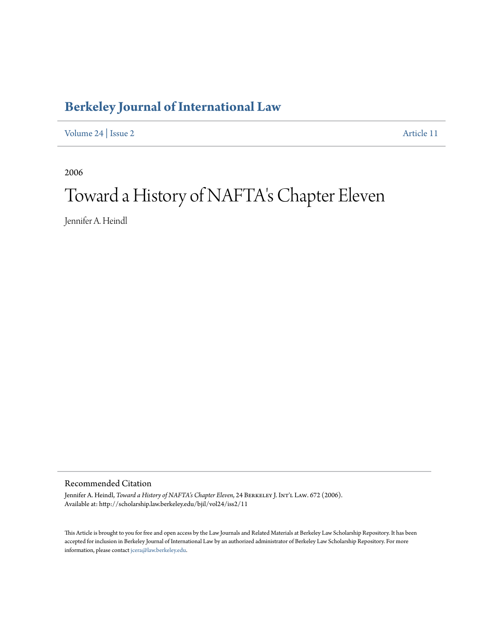## **[Berkeley Journal of International Law](http://scholarship.law.berkeley.edu/bjil)**

[Volume 24](http://scholarship.law.berkeley.edu/bjil/vol24) | [Issue 2](http://scholarship.law.berkeley.edu/bjil/vol24/iss2) [Article 11](http://scholarship.law.berkeley.edu/bjil/vol24/iss2/11)

2006

# Toward a History of NAFTA's Chapter Eleven

Jennifer A. Heindl

Recommended Citation

Jennifer A. Heindl, *Toward a History of NAFTA's Chapter Eleven*, 24 BERKELEY J. INT'L LAW. 672 (2006). Available at: http://scholarship.law.berkeley.edu/bjil/vol24/iss2/11

This Article is brought to you for free and open access by the Law Journals and Related Materials at Berkeley Law Scholarship Repository. It has been accepted for inclusion in Berkeley Journal of International Law by an authorized administrator of Berkeley Law Scholarship Repository. For more information, please contact [jcera@law.berkeley.edu.](mailto:jcera@law.berkeley.edu)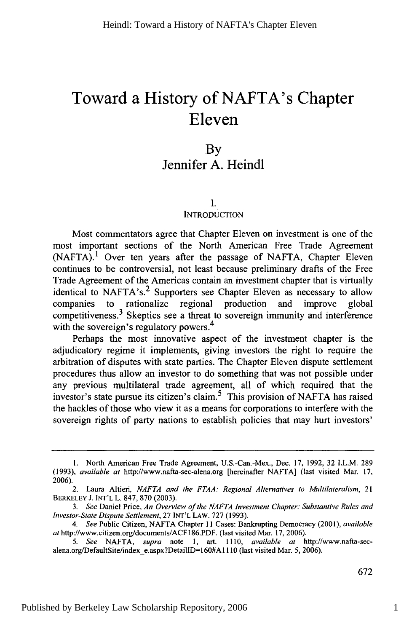## **Toward a History of NAFTA's Chapter Eleven**

### By Jennifer **A.** Heindl

#### I.

#### **INTRODUCTION**

Most commentators agree that Chapter Eleven on investment is one of the most important sections of the North American Free Trade Agreement  $(NAFTA).$ <sup>1</sup> Over ten years after the passage of NAFTA, Chapter Eleven continues to be controversial, not least because preliminary drafts of the Free Trade Agreement of the Americas contain an investment chapter that is virtually identical to NAFTA's.<sup>2</sup> Supporters see Chapter Eleven as necessary to allow companies to rationalize regional production and improve global competitiveness. 3 Skeptics see a threat to sovereign immunity and interference with the sovereign's regulatory powers.<sup>4</sup>

Perhaps the most innovative aspect of the investment chapter is the adjudicatory regime it implements, giving investors the right to require the arbitration of disputes with state parties. The Chapter Eleven dispute settlement procedures thus allow an investor to do something that was not possible under any previous multilateral trade agreement, all of which required that the investor's state pursue its citizen's claim.<sup>5</sup> This provision of NAFTA has raised the hackles of those who view it as a means for corporations to interfere with the sovereign rights of party nations to establish policies that may hurt investors'

**<sup>1.</sup>** North American Free Trade Agreement, U.S.-Can.-Mex., Dec. 17, 1992, 32 I.L.M. 289 (1993), *available at* http://www.nafta-sec-alena.org [hereinafter NAFTA] (last visited Mar. 17, 2006).

<sup>2.</sup> Laura Altieri, *NAFTA and the FTAA: Regional Alternatives to Multilateralism,* 21 BERKELEY **J. INT'L** L. 847, 870 (2003).

*<sup>3.</sup> See* Daniel Price, *An Overview of the NAFTA Investment Chapter: Substantive Rules and Investor-State Dispute Settlement,* 27 **INT'L** LAW. 727 (1993).

*<sup>4.</sup> See* Public Citizen, NAFTA Chapter 11 Cases: Bankrupting Democracy (2001), *available* at http://www.citizen.org/documents/ACF186.PDF. (last visited Mar. 17, 2006).

*<sup>5.</sup> See* NAFTA, *supra* note **1,** art. 1110, *available at* http://www.nafla-secalena.org/DefaultSite/index-e.aspx?DetailID=160#A1110 (last visited Mar. 5, 2006).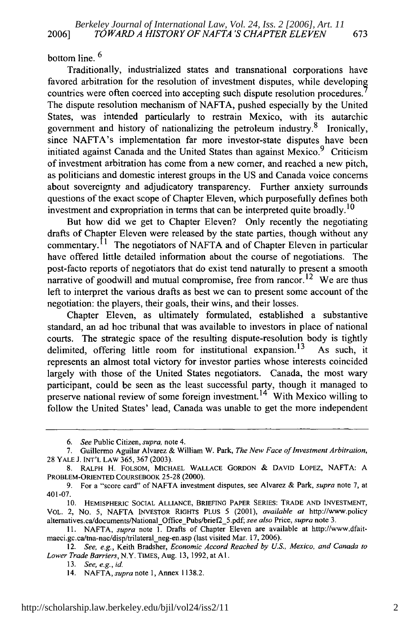bottom line.<sup>6</sup>

Traditionally, industrialized states and transnational corporations have favored arbitration for the resolution of investment disputes, while developin countries were often coerced into accepting such dispute resolution procedures. The dispute resolution mechanism of NAFTA, pushed especially by the United States, was intended particularly to restrain Mexico, with its autarchic government and history of nationalizing the petroleum industry.<sup>8</sup> Ironically, since NAFTA's implementation far more investor-state disputes have been initiated against Canada and the United States than against Mexico.  $9$  Criticism of investment arbitration has come from a new comer, and reached a new pitch, as politicians and domestic interest groups in the US and Canada voice concerns about sovereignty and adjudicatory transparency. Further anxiety surrounds questions of the exact scope of Chapter Eleven, which purposefully defines both investment and expropriation in terms that can be interpreted quite broadly.<sup>10</sup>

But how did we get to Chapter Eleven? Only recently the negotiating drafts of Chapter Eleven were released by the state parties, though without any commentary.<sup>11</sup> The negotiators of NAFTA and of Chapter Eleven in particular have offered little detailed information about the course of negotiations. The post-facto reports of negotiators that do exist tend naturally to present a smooth narrative of goodwill and mutual compromise, free from rancor.<sup>12</sup> We are thus left to interpret the various drafts as best we can to present some account of the negotiation: the players, their goals, their wins, and their losses.

Chapter Eleven, as ultimately formulated, established a substantive standard, an ad hoc tribunal that was available to investors in place of national courts. The strategic space of the resulting dispute-resolution body is tightly delimited, offering little room for institutional expansion.<sup>13</sup> As such, it represents an almost total victory for investor parties whose interests coincided largely with those of the United States negotiators. Canada, the most wary participant, could be seen as the least successful party, though it managed to preserve national review of some foreign investment.<sup>14</sup> With Mexico willing to follow the United States' lead, Canada was unable to get the more independent

*<sup>6.</sup> See* Public Citizen, *supra,* note 4.

<sup>7.</sup> Guillermo Aguilar Alvarez & William W. Park, *The New Face of Investment Arbitration,* 28 YALE J. INT'L LAW 365, 367 (2003).

<sup>8.</sup> RALPH H. FOLSOM, MICHAEL WALLACE GORDON & DAVID LOPEZ, NAFTA: A PROBLEM-ORIENTED COURSEBOOK **25-28** (2000).

<sup>9.</sup> For a "score card" of NAFTA investment disputes, see Alvarez & Park, *supra* note 7, at 401-07.

**<sup>10.</sup>** HEMISPHERIC SOCIAL ALLIANCE, BRIEFING PAPER SERIES: TRADE **AND** INVESTMENT, VOL. 2, No. 5, NAFTA INVESTOR RIGHTS PLUS 5 (2001), *available at* http://www.policy altematives.ca/documents/National\_Office\_Pubs/brief2\_5.pdf; *see also* Price, *supra* note 3.

<sup>11.</sup> NAFTA, *supra* note 1. Drafts of Chapter Eleven are available at http://www.dfaitmaeci.gc.ca/tna-nac/disp/trilateral\_neg-en.asp (last visited Mar. 17, 2006).

<sup>12.</sup> *See, e.g.,* Keith Bradsher, *Economic Accord Reached by U.S., Mexico, and Canada to Lower Trade Barriers,* N.Y. TIMES, Aug. 13, 1992, at Al.

<sup>13.</sup> *See, e.g., id.*

<sup>14.</sup> NAFTA, *supra* note 1, Annex 1138.2.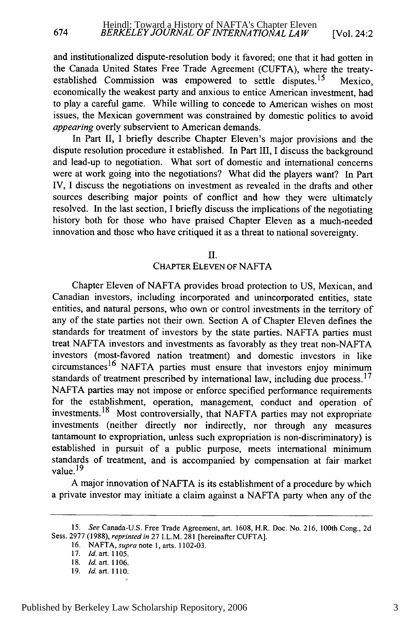and institutionalized dispute-resolution body it favored; one that it had gotten in the Canada United States Free Trade Agreement (CUFTA), where the treatyestablished Commission was empowered to settle disputes.<sup>15</sup> Mexico, economically the weakest party and anxious to entice American investment, had to play a careful game. While willing to concede to American wishes on most issues, the Mexican government was constrained by domestic politics to avoid *appearing* overly subservient to American demands.

In Part II, I briefly describe Chapter Eleven's major provisions and the dispute resolution procedure it established. In Part III, I discuss the background and lead-up to negotiation. What sort of domestic and international concerns were at work going into the negotiations? What did the players want? In Part IV, I discuss the negotiations on investment as revealed in the drafts and other sources describing major points of conflict and how they were ultimately resolved. In the last section, I briefly discuss the implications of the negotiating history both for those who have praised Chapter Eleven as a much-needed innovation and those who have critiqued it as a threat to national sovereignty.

II.

#### CHAPTER **ELEVEN** OF NAFTA

Chapter Eleven of NAFTA provides broad protection to US, Mexican, and Canadian investors, including incorporated and unincorporated entities, state entities, and natural persons, who own or control investments in the territory of any of the state parties not their own. Section A of Chapter Eleven defines the standards for treatment of investors by the state parties. NAFTA parties must treat NAFTA investors and investments as favorably as they treat non-NAFTA investors (most-favored nation treatment) and domestic investors in like  $circ$   $^{16}$  NAFTA parties must ensure that investors enjoy minimum standards of treatment prescribed by international law, including due process.<sup>17</sup> NAFTA parties may not impose or enforce specified performance requirements for the establishment, operation, management, conduct and operation of investments.18 Most controversially, that NAFTA parties may not expropriate investments (neither directly nor indirectly, nor through any measures tantamount to expropriation, unless such expropriation is non-discriminatory) is established in pursuit of a public purpose, meets international minimum standards of treatment, and is accompanied by compensation at fair market value. **19**

A major innovation of NAFTA is its establishment of a procedure by which a private investor may initiate a claim against a NAFTA party when any of the

<sup>15.</sup> *See* Canada-U.S. Free Trade Agreement, art. 1608, H.R. Doc. No. 216, 100th Cong., 2d Sess. 2977 (1988), *reprinted in* 27 I.L.M. 281 [hereinafter CUFTA].

<sup>16.</sup> NAFTA, *supra* note 1, arts. 1102-03.

<sup>17.</sup> *Id.* art. 1105.

<sup>18.</sup> *Id.* art. **1106.**

**<sup>19.</sup>** *Id.* art. **1110.**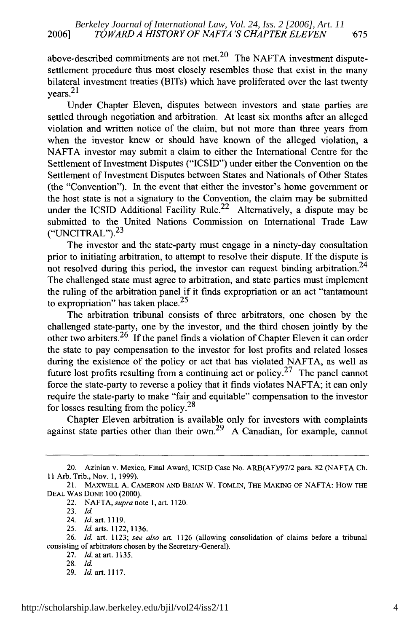above-described commitments are not met.<sup>20</sup> The NAFTA investment disputesettlement procedure thus most closely resembles those that exist in the many bilateral investment treaties (BITs) which have proliferated over the last twenty  $years.<sup>21</sup>$ 

Under Chapter Eleven, disputes between investors and state parties are settled through negotiation and arbitration. At least six months after an alleged violation and written notice of the claim, but not more than three years from when the investor knew or should have known of the alleged violation, a NAFTA investor may submit a claim to either the International Centre for the Settlement of Investment Disputes ("ICSID") under either the Convention on the Settlement of Investment Disputes between States and Nationals of Other States (the "Convention"). In the event that either the investor's home government or the host state is not a signatory to the Convention, the claim may be submitted under the ICSID Additional Facility Rule.<sup>22</sup> Alternatively, a dispute may be submitted to the United Nations Commission on International Trade Law  $("UNCITRAL").<sup>23</sup>$ 

The investor and the state-party must engage in a ninety-day consultation prior to initiating arbitration, to attempt to resolve their dispute. If the dispute is not resolved during this period, the investor can request binding arbitration.<sup>24</sup> The challenged state must agree to arbitration, and state parties must implement the ruling of the arbitration panel if it finds expropriation or an act "tantamount to expropriation" has taken place. $25$ 

The arbitration tribunal consists of three arbitrators, one chosen by the challenged state-party, one by the investor, and the third chosen jointly by the other two arbiters.<sup>26</sup> If the panel finds a violation of Chapter Eleven it can order the state to pay compensation to the investor for lost profits and related losses during the existence of the policy or act that has violated NAFTA, as well as future lost profits resulting from a continuing act or policy.<sup>27</sup> The panel cannot force the state-party to reverse a policy that it finds violates NAFTA; it can only require the state-party to make "fair and equitable" compensation to the investor for losses resulting from the policy.<sup>28</sup>

Chapter Eleven arbitration is available only for investors with complaints against state parties other than their own.<sup>29</sup> A Canadian, for example, cannot

<sup>20.</sup> Azinian v. Mexico, Final Award, ICSID Case No. ARB(AF)/97/2 para. 82 (NAFTA Ch. 11 Arb. Trib., Nov. 1, 1999).

<sup>21.</sup> MAXWELL A. CAMERON AND BRIAN W. TOMLIN, THE MAKING OF NAFTA: HOW THE DEAL WAS DONE 100 (2000).

<sup>22.</sup> NAFTA, *supra* note 1, art. 1120.

<sup>23.</sup> Id.

<sup>24.</sup> *Id.* art. 1119.

<sup>25.</sup> Id. arts. 1122,1136.

<sup>26.</sup> *Id.* art. 1123; *see also* art. 1126 (allowing consolidation of claims before a tribunal consisting of arbitrators chosen by the Secretary-General).

<sup>27.</sup> *Id.* at art. 1135.

<sup>28.</sup> Id

<sup>29.</sup> **Id.** art. 1117.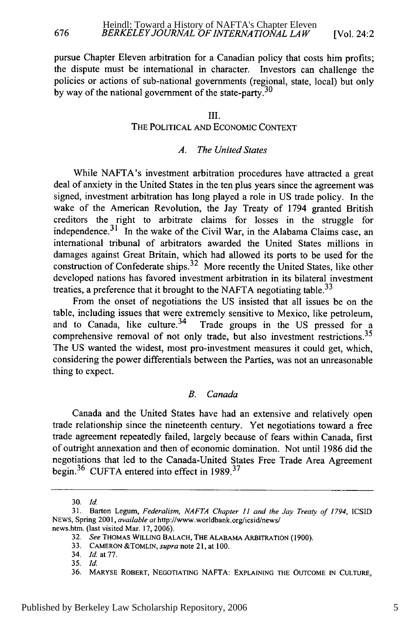pursue Chapter Eleven arbitration for a Canadian policy that costs him profits; the dispute must be international in character. Investors can challenge the policies or actions of sub-national govermnents (regional, state, local) but only by way of the national government of the state-party.  $30$ 

#### III.

#### THE POLITICAL **AND ECONOMIC CONTEXT**

#### *A. The United States*

While NAFTA's investment arbitration procedures have attracted a great deal of anxiety in the United States in the ten plus years since the agreement was signed, investment arbitration has long played a role in US trade policy. In the wake of the American Revolution, the Jay Treaty of 1794 granted British creditors the right to arbitrate claims for losses in the struggle for independence.<sup>31</sup> In the wake of the Civil War, in the Alabama Claims case, an international tribunal of arbitrators awarded the United States millions in damages against Great Britain, which had allowed its ports to be used for the construction of Confederate ships. 32 More recently the United States, like other developed nations has favored investment arbitration in its bilateral investment treaties, a preference that it brought to the NAFTA negotiating table.<sup>33</sup>

From the onset of negotiations the US insisted that all issues be on the table, including issues that were extremely sensitive to Mexico, like petroleum, and to Canada, like culture.<sup>34</sup> Trade groups in the US pressed for a comprehensive removal of not only trade, but also investment restrictions.<sup>35</sup> The US wanted the widest, most pro-investment measures it could get, which, considering the power differentials between the Parties, was not an unreasonable thing to expect.

#### *B. Canada*

Canada and the United States have had an extensive and relatively open trade relationship since the nineteenth century. Yet negotiations toward a free trade agreement repeatedly failed, largely because of fears within Canada, first of outright annexation and then of economic domination. Not until 1986 did the negotiations that led to the Canada-United States Free Trade Area Agreement begin. 36 CUFTA entered into effect in **1989. <sup>37</sup>**

<sup>30.</sup> *Id.*

<sup>31.</sup> Barton Legum, *Federalism, NAFTA Chapter 11 and the Jay Treaty of 1794,* ICSID **NEWS,** Spring 2001, *available at* http://www.worldbank.org/icsid/news/ news.htm. (last visited Mar. 17, 2006).

<sup>32.</sup> *See* **THOMAS WILLING BALACH, THE** ALABAMA ARBITRATION **(1900).**

<sup>33.</sup> **CAMERON &TOMLIN,** *supra* note 21, at 100.

<sup>34.</sup> *Id.* at 77.

<sup>35.</sup> Id.

**<sup>36.</sup>** MARYSE ROBERT, **NEGOTIATING** NAFTA: **EXPLAINING** THE **OUTCOME IN** CULTURE,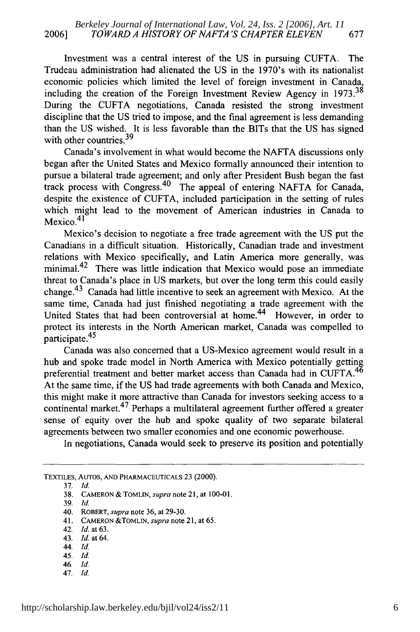Investment was a central interest of the US in pursuing CUFTA. The Trudeau administration had alienated the US in the 1970's with its nationalist economic policies which limited the level of foreign investment in Canada, including the creation of the Foreign Investment Review Agency in 1973.<sup>38</sup> During the CUFTA negotiations, Canada resisted the strong investment discipline that the US tried to impose, and the final agreement is less demanding than the US wished. It is less favorable than the BITs that the US has signed with other countries.<sup>39</sup>

Canada's involvement in what would become the NAFTA discussions only began after the United States and Mexico formally announced their intention to pursue a bilateral trade agreement; and only after President Bush began the fast track process with Congress. 40 The appeal of entering NAFTA for Canada, despite the existence of CUFTA, included participation in the setting of rules which might lead to the movement of American industries in Canada to Mexico.<sup>41</sup>

Mexico's decision to negotiate a free trade agreement with the US put the Canadians in a difficult situation. Historically, Canadian trade and investment relations with Mexico specifically, and Latin America more generally, was minimal.<sup>42</sup> There was little indication that Mexico would pose an immediate threat to Canada's place in US markets, but over the long term this could easily change. 43 Canada had little incentive to seek an agreement with Mexico. At the same time, Canada had just finished negotiating a trade agreement with the United States that had been controversial at home.<sup>44</sup> However, in order to protect its interests in the North American market, Canada was compelled to protect its m

Canada was also concerned that a US-Mexico agreement would result in a hub and spoke trade model in North America with Mexico potentially getting preferential treatment and better market access than Canada had in CUFTA.<sup>46</sup> At the same time, if the US had trade agreements with both Canada and Mexico, this might make it more attractive than Canada for investors seeking access to a continental market. 47 Perhaps a multilateral agreement further offered a greater sense of equity over the hub and spoke quality of two separate bilateral agreements between two smaller economies and one economic powerhouse.

In negotiations, Canada would seek to preserve its position and potentially

- 45. Id.
- 46. Id.
- 47. Id.

TEXTILES, AuTos, **AND** PHARMACEUTICALs **23 (2000).**

<sup>37.</sup> *Id.*

<sup>38.</sup> **CAMERON & TOMLIN,** *supra* note 21, at 100-01.

**<sup>39.</sup>** *Id.*

<sup>40.</sup> ROBERT, *supra* note **36,** at 29-30.

<sup>41.</sup> **CAMERON** &TOMLIN, *supra* note 21, at *65.*

<sup>42.</sup> *Id.* at 63.

<sup>43.</sup> *Id.* at 64.

<sup>44.</sup> *Id.*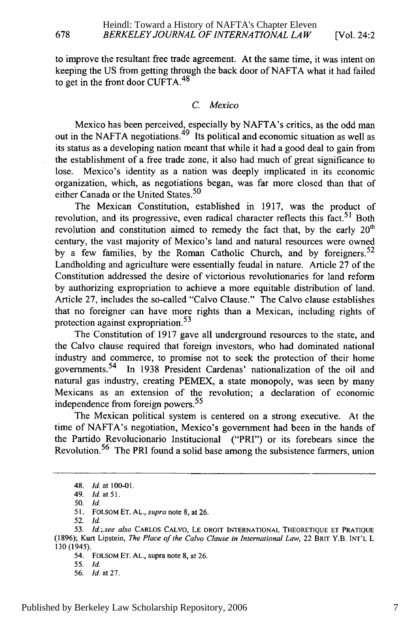to improve the resultant free trade agreement. At the same time, it was intent on keeping the US from getting through the back door of NAFTA what it had failed to get in the front door CUFTA.<sup>48</sup>

#### *C. Mexico*

Mexico has been perceived, especially by NAFTA's critics, as the odd man out in the NAFTA negotiations.<sup>49</sup> Its political and economic situation as well as its status as a developing nation meant that while it had a good deal to gain from the establishment of a free trade zone, it also had much of great significance to lose. Mexico's identity as a nation was deeply implicated in its economic organization, which, as negotiations began, was far more closed than that of either Canada or the United States.<sup>50</sup>

The Mexican Constitution, established in 1917, was the product of revolution, and its progressive, even radical character reflects this fact.<sup>51</sup> Both revolution and constitution aimed to remedy the fact that, by the early  $20<sup>th</sup>$ century, the vast majority of Mexico's land and natural resources were owned by a few families, by the Roman Catholic Church, and by foreigners.  $52$ Landholding and agriculture were essentially feudal in nature. Article 27 of the Constitution addressed the desire of victorious revolutionaries for land reform by authorizing expropriation to achieve a more equitable distribution of land. Article 27, includes the so-called "Calvo Clause." The Calvo clause establishes that no foreigner can have more rights than a Mexican, including rights of protection against expropriation.<sup>53</sup>

The Constitution of 1917 gave all underground resources to the state, and the Calvo clause required that foreign investors, who had dominated national industry and commerce, to promise not to seek the protection of their home governments. 54 In 1938 President Cardenas' nationalization of the oil and natural gas industry, creating PEMEX, a state monopoly, was seen by many Mexicans as an extension of the revolution; a declaration of economic independence from foreign powers.<sup>55</sup>

The Mexican political system is centered on a strong executive. At the time of NAFTA's negotiation, Mexico's government had been in the hands of the Partido Revolucionario Institucional ("PRI") or its forebears since the Revolution.<sup>56</sup> The PRI found a solid base among the subsistence farmers, union

678

55. *Id.*

<sup>48.</sup> **Id.** at **100-01.**

<sup>49.</sup> **Id.** at **51.**

<sup>50.</sup> Id.

<sup>51.</sup> FOLSoM ET. AL., *supra* note 8, at 26.

<sup>52.</sup> **Id.**

<sup>53.</sup> *Id.;.see also* CARLOS **CALVO, LE** DROIT **INTERNATIONAL THEORETIQUE ET PRATIQUE (1896);** Kurt Lipstein, *The Place of the Calvo Clause in International Law,* 22 BRIT Y.B. INT'L L 130 (1945).

<sup>54.</sup> FOLSoM ET. **AL.,** supra note **8,** at 26.

<sup>56.</sup> *Id.* at 27.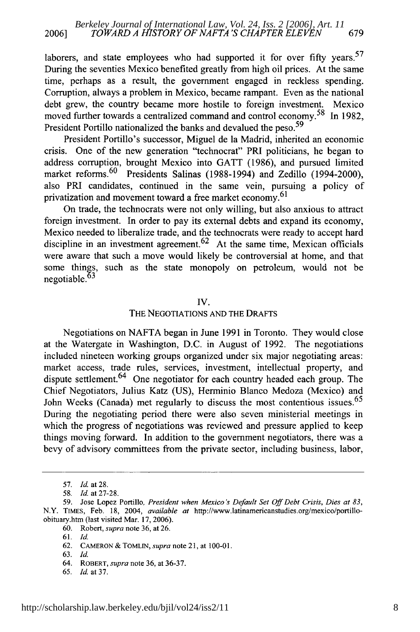laborers, and state employees who had supported it for over fifty years.<sup>57</sup> During the seventies Mexico benefited greatly from high oil prices. At the same time, perhaps as a result, the government engaged in reckless spending. Corruption, always a problem in Mexico, became rampant. Even as the national debt grew, the country became more hostile to foreign investment. Mexico moved further towards a centralized command and control economy.<sup>58</sup> In 1982, President Portillo nationalized the banks and devalued the peso.<sup>59</sup>

President Portillo's successor, Miguel de la Madrid, inherited an economic crisis. One of the new generation "technocrat" PRI politicians, he began to address corruption, brought Mexico into GATT (1986), and pursued limited market reforms.<sup>60</sup> Presidents Salinas (1988-1994) and Zedillo (1994-2000), also PRI candidates, continued in the same vein, pursuing a policy of privatization and movement toward a free market economy.<sup>61</sup>

On trade, the technocrats were not only willing, but also anxious to attract foreign investment. In order to pay its external debts and expand its economy, Mexico needed to liberalize trade, and the technocrats were ready to accept hard discipline in an investment agreement.<sup>62</sup> At the same time, Mexican officials were aware that such a move would likely be controversial at home, and that some things, such as the state monopoly on petroleum, would not be negotiable.<sup>63</sup>

#### IV.

#### THE **NEGOTIATIONS AND** THE DRAFTS

Negotiations on NAFTA began in June 1991 in Toronto. They would close at the Watergate in Washington, D.C. in August of 1992. The negotiations included nineteen working groups organized under six major negotiating areas: market access, trade rules, services, investment, intellectual property, and dispute settlement.<sup>64</sup> One negotiator for each country headed each group. The Chief Negotiators, Julius Katz (US), Herminio Blanco Medoza (Mexico) and John Weeks (Canada) met regularly to discuss the most contentious issues.<sup>65</sup> During the negotiating period there were also seven ministerial meetings in which the progress of negotiations was reviewed and pressure applied to keep things moving forward. In addition to the government negotiators, there was a bevy of advisory committees from the private sector, including business, labor,

- 62. CAMERON & TOMLIN, *supra* note 21, at 100-01.
- 63. *Id.*
- 64. ROBERT, *supra* note 36, at 36-37.
- 65. *Id.* at 37.

<sup>57.</sup> Id. at 28.

*<sup>58.</sup>* Id. at 27-28. *59.* Jose Lopez Portillo, *President when Mexico's Default Set Off Debt Crisis, Dies at 83,* N.Y. TIMES, Feb. 18, 2004, *available at* http://www.latinamericanstudies.org/mexico/portilloobituary.htm (last visited Mar. 17, 2006).

<sup>60.</sup> Robert, *supra* note 36, at 26.

<sup>61.</sup> *Id*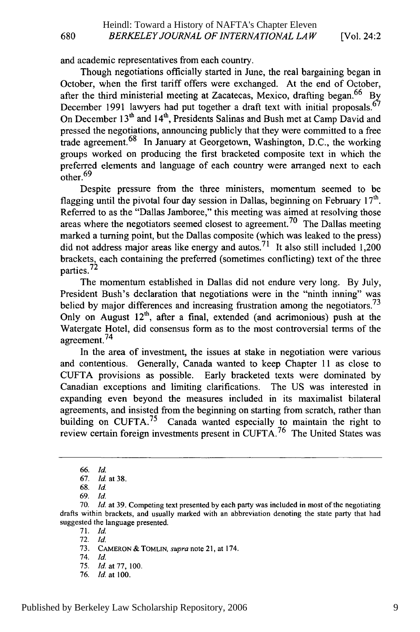and academic representatives from each country.

Though negotiations officially started in June, the real bargaining began in October, when the first tariff offers were exchanged. At the end of October, after the third ministerial meeting at Zacatecas, Mexico, drafting began.<sup>66</sup> By December 1991 lawyers had put together a draft text with initial proposals.<sup>67</sup> On December **<sup>1</sup> 3th** and 14th, Presidents Salinas and Bush met at Camp David and pressed the negotiations, announcing publicly that they were committed to a free trade agreement.  $68$  In January at Georgetown, Washington, D.C., the working groups worked on producing the first bracketed composite text in which the preferred elements and language of each country were arranged next to each other.  $69$ 

Despite pressure from the three ministers, momentum seemed to be flagging until the pivotal four day session in Dallas, beginning on February  $17<sup>th</sup>$ . Referred to as the "Dallas Jamboree," this meeting was aimed at resolving those areas where the negotiators seemed closest to agreement.<sup>70</sup> The Dallas meeting marked a turning point, but the Dallas composite (which was leaked to the press) did not address major areas like energy and autos.<sup>71</sup> It also still included 1,200 brackets, each containing the preferred (sometimes conflicting) text of the three  $p$ arties.<sup>72</sup>

The momentum established in Dallas did not endure very long. By July, President Bush's declaration that negotiations were in the "ninth inning" was belied by major differences and increasing frustration among the negotiators.<sup>73</sup> Only on August  $12<sup>th</sup>$ , after a final, extended (and acrimonious) push at the Watergate Hotel, did consensus form as to the most controversial terms of the agreement.<sup>74</sup>

In the area of investment, the issues at stake in negotiation were various and contentious. Generally, Canada wanted to keep Chapter 11 as close to CUFTA provisions as possible. Early bracketed texts were dominated by Canadian exceptions and limiting clarifications. The US was interested in expanding even beyond the measures included in its maximalist bilateral agreements, and insisted from the beginning on starting from scratch, rather than building on CUFTA.<sup>75</sup> Canada wanted especially to maintain the right to review certain foreign investments present in CUFTA.<sup>76</sup> The United States was

71. Id.

76. *Id.* at 100.

<sup>66.</sup> *Id.*

<sup>67.</sup> *Id.* at 38.

<sup>68.</sup> *Id.*

<sup>69.</sup> *Id.*

<sup>70.</sup> *Id.* at 39. Competing text presented by each party was included in most of the negotiating drafts within brackets, and usually marked with an abbreviation denoting the state party that had suggested the language presented.

<sup>72.</sup> Id.

<sup>73.</sup> CAMERON & TOMLIN, supra note 21, at 174.

<sup>74.</sup> **Id.**

<sup>75.</sup> *Id.* at 77, 100.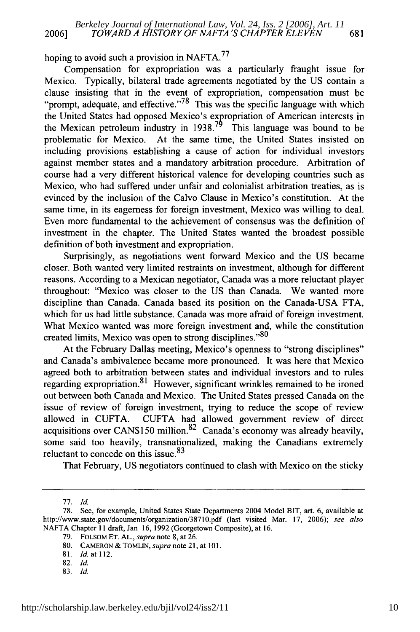hoping to avoid such a provision in NAFTA.<sup>77</sup>

Compensation for expropriation was a particularly fraught issue for Mexico. Typically, bilateral trade agreements negotiated by the US contain a clause insisting that in the event of expropriation, compensation must be "prompt, adequate, and effective."  $^{78}$  This was the specific language with which the United States had opposed Mexico's expropriation of American interests in the Mexican petroleum industry in 1938.<sup>79</sup> This language was bound to be problematic for Mexico. At the same time, the United States insisted on including provisions establishing a cause of action for individual investors against member states and a mandatory arbitration procedure. Arbitration of course had a very different historical valence for developing countries such as Mexico, who had suffered under unfair and colonialist arbitration treaties, as is evinced by the inclusion of the Calvo Clause in Mexico's constitution. At the same time, in its eagerness for foreign investment, Mexico was willing to deal. Even more fundamental to the achievement of consensus was the definition of investment in the chapter. The United States wanted the broadest possible definition of both investment and expropriation.

Surprisingly, as negotiations went forward Mexico and the US became closer. Both wanted very limited restraints on investment, although for different reasons. According to a Mexican negotiator, Canada was a more reluctant player throughout: "Mexico was closer to the US than Canada. We wanted more discipline than Canada. Canada based its position on the Canada-USA FTA, which for us had little substance. Canada was more afraid of foreign investment. What Mexico wanted was more foreign investment and, while the constitution created limits, Mexico was open to strong disciplines."80

At the February Dallas meeting, Mexico's openness to "strong disciplines" and Canada's ambivalence became more pronounced. It was here that Mexico agreed both to arbitration between states and individual investors and to rules regarding expropriation. $81$  However, significant wrinkles remained to be ironed out between both Canada and Mexico. The United States pressed Canada on the issue of review of foreign investment, trying to reduce the scope of review allowed in CUFTA. CUFTA had allowed government review of direct acquisitions over CAN\$150 million.<sup>82</sup> Canada's economy was already heavily, some said too heavily, transnationalized, making the Canadians extremely reluctant to concede on this issue.<sup>83</sup>

That February, US negotiators continued to clash with Mexico on the sticky

- 81. *Id.* at 112.
- 82. **Id.**
- 83. *Id.*

<sup>77.</sup> *Id.*

<sup>78.</sup> See, for example, United States State Departments 2004 Model BIT, art. 6, available at http://www.state.gov/documents/organization/38710.pdf (last visited Mar. 17, 2006); see also NAFTA Chapter 11 draft, Jan 16, 1992 (Georgetown Composite), at 16.

<sup>79.</sup> FOLSOM ET. AL., supra note 8, at 26.

<sup>80.</sup> CAMERON **&** TOMLIN, *supra* note 21, at 101.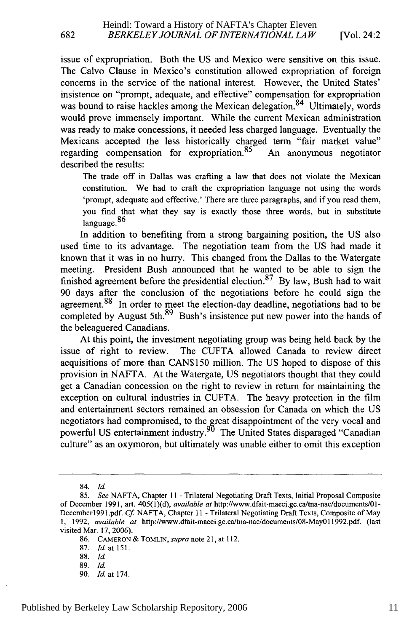[Vol. 24:2

issue of expropriation. Both the US and Mexico were sensitive on this issue. The Calvo Clause in Mexico's constitution allowed expropriation of foreign concerns in the service of the national interest. However, the United States' insistence on "prompt, adequate, and effective" compensation for expropriation was bound to raise hackles among the Mexican delegation.<sup>84</sup> Ultimately, words would prove immensely important. While the current Mexican administration was ready to make concessions, it needed less charged language. Eventually the Mexicans accepted the less historically charged term "fair market value" regarding compensation for expropriation. $85$  An anonymous negotiator described the results:

The trade off in Dallas was crafting a law that does not violate the Mexican constitution. We had to craft the expropriation language not using the words 'prompt, adequate and effective.' There are three paragraphs, and if you read them, you find that what they say is exactly those three words, but in substitute language.<sup>86</sup>

In addition to benefiting from a strong bargaining position, the US also used time to its advantage. The negotiation team from the US had made it known that it was in no hurry. This changed from the Dallas to the Watergate meeting. President Bush announced that he wanted to be able to sign the finished agreement before the presidential election.<sup>87</sup> By law, Bush had to wait 90 days after the conclusion of the negotiations before he could sign the agreement.<sup>88</sup> In order to meet the election-day deadline, negotiations had to be completed by August 5th.<sup>89</sup> Bush's insistence put new power into the hands of the beleaguered Canadians.

At this point, the investment negotiating group was being held back by the issue of right to review. The CUFTA allowed Canada to review direct acquisitions of more than CANS150 million. The US hoped to dispose of this provision in NAFTA. At the Watergate, US negotiators thought that they could get a Canadian concession on the right to review in return for maintaining the exception on cultural industries in CUFTA. The heavy protection in the film and entertainment sectors remained an obsession for Canada on which the US negotiators had compromised, to the great disappointment of the very vocal and powerful US entertainment industry.<sup>90</sup> The United States disparaged "Canadian culture" as an oxymoron, but ultimately was unable either to omit this exception

<sup>84.</sup> Id.

<sup>85.</sup> *See* NAFTA, Chapter 11 - Trilateral Negotiating Draft Texts, Initial Proposal Composite of December 1991, art. 405(1)(d), *available at* http://www.dfait-maeci.gc.ca/tna-nac/documents/01- December1991 .pdf. *Cf* NAFTA, Chapter 11 - Trilateral Negotiating Draft Texts, Composite of May 1, 1992, *available at* http://www.dfait-maeci.gc.ca/tna-nac/documents/08-May0 11992.pdf. (last visited Mar. 17, 2006).

<sup>86.</sup> CAMERON & TOMLIN, *supra* note 21, at 112.

<sup>87.</sup> Id. at **151.**

<sup>88.</sup> *Id.*

<sup>89.</sup> *Id.*

<sup>90.</sup> Id. at 174.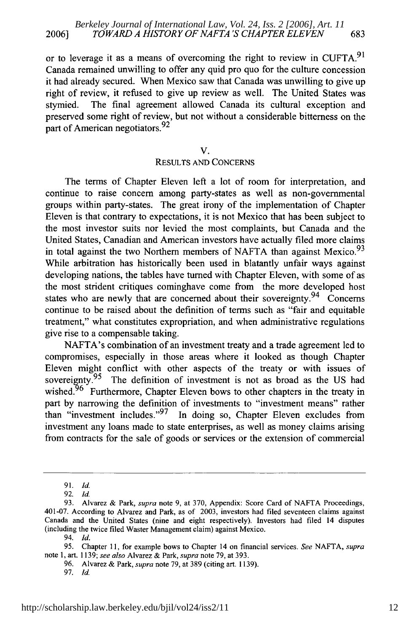or to leverage it as a means of overcoming the right to review in **CUFTA.<sup>9</sup> <sup>1</sup>** Canada remained unwilling to offer any quid pro quo for the culture concession it had already secured. When Mexico saw that Canada was unwilling to give up right of review, it refused to give up review as well. The United States was stymied. The final agreement allowed Canada its cultural exception and preserved some right of review, but not without a considerable bitterness on the part of American negotiators.  $92<sup>2</sup>$ 

**V.**

#### **RESULTS AND CONCERNS**

The terms of Chapter Eleven left a lot of room for interpretation, and continue to raise concern among party-states as well as non-governmental groups within party-states. The great irony of the implementation of Chapter Eleven is that contrary to expectations, it is not Mexico that has been subject to the most investor suits nor levied the most complaints, but Canada and the United States, Canadian and American investors have actually filed more claims in total against the two Northern members of NAFTA than against Mexico.<sup>93</sup> While arbitration has historically been used in blatantly unfair ways against developing nations, the tables have turned with Chapter Eleven, with some of as the most strident critiques cominghave come from the more developed host states who are newly that are concerned about their sovereignty.<sup>94</sup> Concerns continue to be raised about the definition of terms such as "fair and equitable treatment," what constitutes expropriation, and when administrative regulations give rise to a compensable taking.

NAFTA's combination of an investment treaty and a trade agreement led to compromises, especially in those areas where it looked as though Chapter Eleven might conflict with other aspects of the treaty or with issues of sovereipnty.95 The definition of investment is not as broad as the **US** had wished.<sup>96</sup> Furthermore, Chapter Eleven bows to other chapters in the treaty in part by narrowing the definition of investments to "investment means" rather than "investment includes." <sup>97</sup> In doing so, Chapter Eleven excludes from investment any loans made to state enterprises, as well as money claims arising from contracts for the sale of goods or services or the extension of commercial

**<sup>91.</sup>** *Id.*

**<sup>92.</sup> Id.**

**<sup>93.</sup>** Alvarez **&** Park, *supra* note **9,** at **370,** Appendix: Score Card of **NAFTA** Proceedings, 401-07. According to Alvarez and Park, as of **2003,** investors had filed seventeen claims against Canada and the United States (nine and eight respectively). Investors had filed 14 disputes (including the twice filed Waster Management claim) against Mexico.

<sup>94.</sup> *Id.*

**<sup>95.</sup>** Chapter **11,** for example bows to Chapter 14 on financial services. *See* **NAFTA,** *supra* note **1,** art. **1139;** *see also* Alvarez **&** Park, *supra* note **79,** at **393.**

**<sup>96.</sup>** Alvarez **&** Park, *supra* note **79,** at **389** (citing art. **1139).**

**<sup>97.</sup>** *Id.*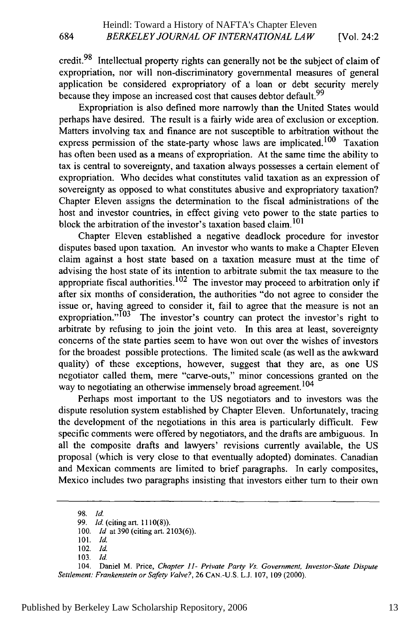credit.<sup>98</sup> Intellectual property rights can generally not be the subject of claim of expropriation, nor will non-discriminatory governmental measures of general application be considered expropriatory of a loan or debt security merely because they impose an increased cost that causes debtor default.<sup>99</sup>

Expropriation is also defined more narrowly than the United States would perhaps have desired. The result is a fairly wide area of exclusion or exception. Matters involving tax and finance are not susceptible to arbitration without the express permission of the state-party whose laws are implicated.<sup>100</sup> Taxation has often been used as a means of expropriation. At the same time the ability to tax is central to sovereignty, and taxation always possesses a certain element of expropriation. Who decides what constitutes valid taxation as an expression of sovereignty as opposed to what constitutes abusive and expropriatory taxation? Chapter Eleven assigns the determination to the fiscal administrations of the host and investor countries, in effect giving veto power to the state parties to block the arbitration of the investor's taxation based claim.<sup>101</sup>

Chapter Eleven established a negative deadlock procedure for investor disputes based upon taxation. An investor who wants to make a Chapter Eleven claim against a host state based on a taxation measure must at the time of advising the host state of its intention to arbitrate submit the tax measure to the appropriate fiscal authorities.<sup>102</sup> The investor may proceed to arbitration only if after six months of consideration, the authorities "do not agree to consider the issue or, having agreed to consider it, fail to agree that the measure is not an expropriation." $103$  The investor's country can protect the investor's right to arbitrate by refusing to join the joint veto. In this area at least, sovereignty concerns of the state parties seem to have won out over the wishes of investors for the broadest possible protections. The limited scale (as well as the awkward quality) of these exceptions, however, suggest that they are, as one US negotiator called them, mere "carve-outs," minor concessions granted on the way to negotiating an otherwise immensely broad agreement.<sup>104</sup>

Perhaps most important to the US negotiators and to investors was the dispute resolution system established by Chapter Eleven. Unfortunately, tracing the development of the negotiations in this area is particularly difficult. Few specific comments were offered by negotiators, and the drafts are ambiguous. In all the composite drafts and lawyers' revisions currently available, the US proposal (which is very close to that eventually adopted) dominates. Canadian and Mexican comments are limited to brief paragraphs. In early composites, Mexico includes two paragraphs insisting that investors either turn to their own

98. Id.

101. Id.

102. *Id.*

<sup>99.</sup> *Id.* (citing art. 1110(8)).

<sup>100.</sup> *Id* at 390 (citing art. 2103(6)).

<sup>103.</sup> Id.

<sup>104.</sup> Daniel M. Price, *Chapter 11- Private Party Vs. Government, Investor-State Dispute Settlement: Frankenstein or Safety Valve?,* 26 CAN.-U.S. L.J. 107, 109 (2000).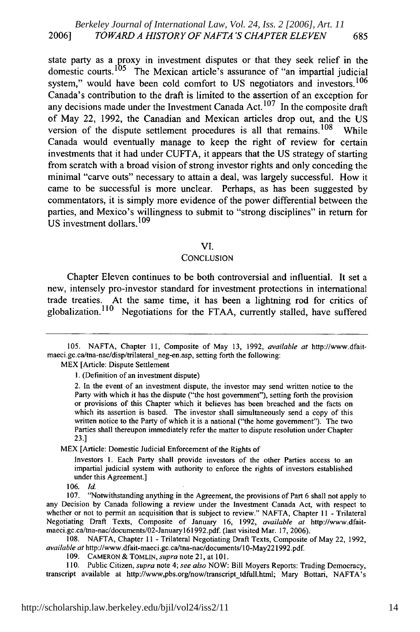state party as a proxy in investment disputes or that they seek relief in the domestic courts.<sup>105</sup> The Mexican article's assurance of "an impartial judicial system," would have been cold comfort to US negotiators and investors.<sup>106</sup> Canada's contribution to the draft is limited to the assertion of an exception for any decisions made under the Investment Canada Act.<sup>107</sup> In the composite draft of May 22, 1992, the Canadian and Mexican articles drop out, and the US version of the dispute settlement procedures is all that remains.  $108$  While Canada would eventually manage to keep the right of review for certain investments that it had under CUFTA, it appears that the US strategy of starting from scratch with a broad vision of strong investor rights and only conceding the minimal "carve outs" necessary to attain a deal, was largely successful. How it came to be successful is more unclear. Perhaps, as has been suggested by commentators, it is simply more evidence of the power differential between the parties, and Mexico's willingness to submit to "strong disciplines" in return for US investment dollars.<sup>109</sup>

#### VI.

#### **CONCLUSION**

Chapter Eleven continues to be both controversial and influential. It set a new, intensely pro-investor standard for investment protections in international trade treaties. At the same time, it has been a lightning rod for critics of globalization.<sup>110</sup> Negotiations for the FTAA, currently stalled, have suffered

MEX [Article: Dispute Settlement

**1.** (Definition of an investment dispute)

MEX [Article: Domestic Judicial Enforcement of the Rights of

Investors **1.** Each Party shall provide investors of the other Parties access to an impartial judicial system with authority to enforce the rights of investors established under this Agreement.]

106. Id.

108. NAFTA, Chapter 11 - Trilateral Negotiating Draft Texts, Composite of May 22, 1992, *available at* http://www.dfait-maeci.gc.ca/tna-nac/documents/I 0-May221992.pdf.

109. CAMERON& ToMLN, *supra* note 21, at 101.

110. Public Citizen, *supra* note 4; *see also* NOW: Bill Moyers Reports: Trading Democracy, transcript available at http://www,pbs.org/now/transcript\_tdfull.htm; Mary Bottari, NAFTA's

<sup>105.</sup> NAFTA, Chapter 11, Composite of May 13, 1992, *available at* http://www.dfaitmaeci.gc.ca/tna-nac/disp/trilateral neg-en.asp, setting forth the following:

<sup>2.</sup> In the event of an investment dispute, the investor may send written notice to the Party with which it has the dispute ("the host government"), setting forth the provision or provisions of this Chapter which it believes has been breached and the facts on which its assertion is based. The investor shall simultaneously send a copy of this written notice to the Party of which it is a national ("the home government"). The two Parties shall thereupon immediately refer the matter to dispute resolution under Chapter 23.]

<sup>107. &</sup>quot;Notwithstanding anything in the Agreement, the provisions of Part 6 shall not apply to any Decision by Canada following a review under the Investment Canada Act, with respect to whether or not to permit an acquisition that is subject to review." NAFTA, Chapter 11 - Trilateral Negotiating Draft Texts, Composite of January 16, 1992, *available at* http://www.dfaitmaeci.gc.ca/tna-nac/documents/02-Januaryl6l992.pdf. (last visited Mar. 17, 2006).